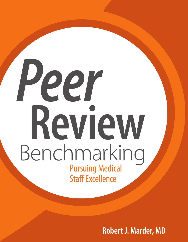# *Peer*  **Review** Benchmarking Staff Excellence

**Robert J. Marder, MD**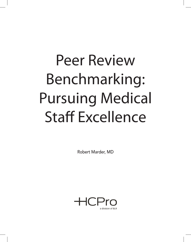# Peer Review Benchmarking: Pursuing Medical Staff Excellence

Robert Marder, MD

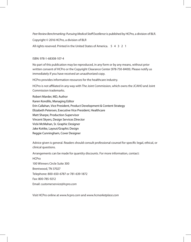*Peer Review Benchmarking: Pursuing Medical Staff Excellence* is published by HCPro, a division of BLR.

Copyright © 2016 HCPro, a division of BLR

All rights reserved. Printed in the United States of America. 5 4 3 2 1

### ISBN: 978-1-68308-107-4

No part of this publication may be reproduced, in any form or by any means, without prior written consent of HCPro or the Copyright Clearance Center (978-750-8400). Please notify us immediately if you have received an unauthorized copy.

HCPro provides information resources for the healthcare industry.

HCPro is not affiliated in any way with The Joint Commission, which owns the JCAHO and Joint Commission trademarks.

Robert Marder, MD, Author Karen Kondilis, Managing Editor Erin Callahan, Vice President, Product Development & Content Strategy Elizabeth Petersen, Executive Vice President, Healthcare Matt Sharpe, Production Supervisor Vincent Skyers, Design Services Director Vicki McMahan, Sr. Graphic Designer Jake Kottke, Layout/Graphic Design Reggie Cunningham, Cover Designer

Advice given is general. Readers should consult professional counsel for specific legal, ethical, or clinical questions.

Arrangements can be made for quantity discounts. For more information, contact: HCPro 100 Winners Circle Suite 300 Brentwood, TN 37027 Telephone: 800-650-6787 or 781-639-1872 Fax: 800-785-9212 Email: *customerservice@hcpro.com*

Visit HCPro online at *www.hcpro.com* and *www.hcmarketplace.com*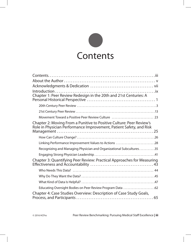

| Chapter 1: Peer Review Redesign in the 20th and 21st Centuries: A                                                                           |  |  |
|---------------------------------------------------------------------------------------------------------------------------------------------|--|--|
|                                                                                                                                             |  |  |
|                                                                                                                                             |  |  |
| Movement Toward a Positive Peer Review Culture  23                                                                                          |  |  |
| Chapter 2: Moving From a Punitive to Positive Culture: Peer Review's<br>Role in Physician Performance Improvement, Patient Safety, and Risk |  |  |
|                                                                                                                                             |  |  |
|                                                                                                                                             |  |  |
| Linking Performance Improvement Values to Actions 28                                                                                        |  |  |
| Recognizing and Managing Physician and Organizational Subcultures35                                                                         |  |  |
|                                                                                                                                             |  |  |
| Chapter 3: Quantifying Peer Review: Practical Approaches for Measuring                                                                      |  |  |
|                                                                                                                                             |  |  |
|                                                                                                                                             |  |  |
|                                                                                                                                             |  |  |
| Educating Oversight Bodies on Peer Review Program Data 62                                                                                   |  |  |
| Chapter 4: Case Studies Overview: Description of Case Study Goals,                                                                          |  |  |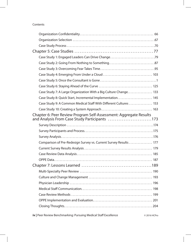# Contents

|                                                                                                                    | Case Study 1: Engaged Leaders Can Drive Change79                  |  |
|--------------------------------------------------------------------------------------------------------------------|-------------------------------------------------------------------|--|
|                                                                                                                    |                                                                   |  |
|                                                                                                                    |                                                                   |  |
|                                                                                                                    |                                                                   |  |
|                                                                                                                    |                                                                   |  |
|                                                                                                                    |                                                                   |  |
|                                                                                                                    | Case Study 7: A Large Organization With a Big Culture Change 133  |  |
|                                                                                                                    |                                                                   |  |
|                                                                                                                    | Case Study 9: A Common Medical Staff With Different Cultures  153 |  |
|                                                                                                                    |                                                                   |  |
| Chapter 6: Peer Review Program Self-Assessment: Aggregate Results<br>and Analysis From Case Study Participants 173 |                                                                   |  |
|                                                                                                                    |                                                                   |  |
|                                                                                                                    |                                                                   |  |
|                                                                                                                    |                                                                   |  |
|                                                                                                                    | Comparison of Pre-Redesign Survey vs. Current Survey Results  177 |  |
|                                                                                                                    |                                                                   |  |
|                                                                                                                    |                                                                   |  |
|                                                                                                                    |                                                                   |  |
|                                                                                                                    |                                                                   |  |
|                                                                                                                    |                                                                   |  |
|                                                                                                                    |                                                                   |  |
|                                                                                                                    |                                                                   |  |
|                                                                                                                    |                                                                   |  |
|                                                                                                                    |                                                                   |  |
|                                                                                                                    |                                                                   |  |
|                                                                                                                    |                                                                   |  |
|                                                                                                                    |                                                                   |  |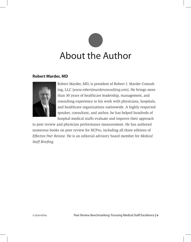# About the Author

# **Robert Marder, MD**



Robert Marder, MD, is president of Robert J. Marder Consulting, LLC (*www.robertjmarderconsulting.com*). He brings more than 30 years of healthcare leadership, management, and consulting experience to his work with physicians, hospitals, and healthcare organizations nationwide. A highly respected speaker, consultant, and author, he has helped hundreds of hospital medical staffs evaluate and improve their approach

to peer review and physician performance measurement. He has authored numerous books on peer review for HCPro, including all three editions of *Effective Peer Review.* He is an editorial advisory board member for *Medical Staff Briefing.*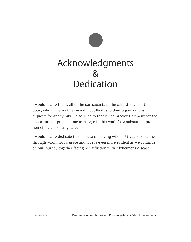

I would like to thank all of the participants in the case studies for this book, whom I cannot name individually due to their organizations' requests for anonymity. I also wish to thank The Greeley Company for the opportunity it provided me to engage in this work for a substantial proportion of my consulting career.

I would like to dedicate this book to my loving wife of 39 years, Susanne, through whom God's grace and love is even more evident as we continue on our journey together facing her affliction with Alzheimer's disease.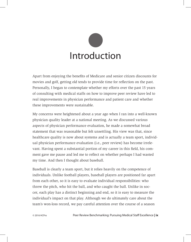

Apart from enjoying the benefits of Medicare and senior citizen discounts for movies and golf, getting old tends to provide time for reflection on the past. Personally, I began to contemplate whether my efforts over the past 15 years of consulting with medical staffs on how to improve peer review have led to real improvements in physician performance and patient care and whether these improvements were sustainable.

My concerns were heightened about a year ago when I ran into a well-known physician quality leader at a national meeting. As we discussed various aspects of physician performance evaluation, he made a somewhat broad statement that was reasonable but felt unsettling. His view was that, since healthcare quality is now about systems and is actually a team sport, individual physician performance evaluation (i.e., peer review) has become irrelevant. Having spent a substantial portion of my career in this field, his comment gave me pause and led me to reflect on whether perhaps I had wasted my time. And then I thought about baseball.

Baseball is clearly a team sport, but it relies heavily on the competence of individuals. Unlike football players, baseball players are positioned far apart from each other, so it is easy to evaluate individual responsibilities: who threw the pitch, who hit the ball, and who caught the ball. Unlike in soccer, each play has a distinct beginning and end, so it is easy to measure the individual's impact on that play. Although we do ultimately care about the team's won-loss record, we pay careful attention over the course of a season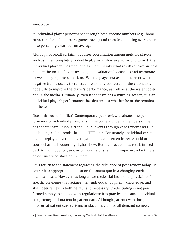### Introduction

to individual player performance through both specific numbers (e.g., home runs, runs batted in, errors, games saved) and rates (e.g., batting average, on base percentage, earned run average).

Although baseball certainly requires coordination among multiple players, such as when completing a double play from shortstop to second to first, the individual players' judgment and skill are mainly what result in team success and are the focus of extensive ongoing evaluation by coaches and teammates as well as by reporters and fans. When a player makes a mistake or when negative trends occur, these issue are usually addressed in the clubhouse, hopefully to improve the player's performance, as well as at the water cooler and in the media. Ultimately, even if the team has a winning season, it is an individual player's performance that determines whether he or she remains on the team.

Does this sound familiar? Contemporary peer review evaluates the performance of individual physicians in the context of being members of the healthcare team. It looks at individual events through case review and rule indicators, and at trends through OPPE data. Fortunately, individual errors are not replayed over and over again on a giant screen in center field or on a sports channel blooper highlights show. But the process does result in feedback to individual physicians on how he or she might improve and ultimately determines who stays on the team.

Let's return to the statement regarding the relevance of peer review today. Of course it is appropriate to question the status quo in a changing environment like healthcare. However, as long as we credential individual physicians for specific privileges that require their individual judgment, knowledge, and skill, peer review is both helpful and necessary. Credentialing is not performed simply to comply with regulations: It is practiced because individual competency still matters in patient care. Although patients want hospitals to have great patient care systems in place, they above all demand competent

**x** | Peer Review Benchmarking: Pursuing Medical Staff Excellence © 2016 HCPro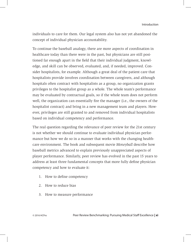individuals to care for them. Our legal system also has not yet abandoned the concept of individual physician accountability.

To continue the baseball analogy, there are more aspects of coordination in healthcare today than there were in the past, but physicians are still positioned far enough apart in the field that their individual judgment, knowledge, and skill can be observed, evaluated, and, if needed, improved. Consider hospitalists, for example. Although a great deal of the patient care that hospitalists provide involves coordination between caregivers, and although hospitals often contract with hospitalists as a group, no organization grants privileges to the hospitalist group as a whole. The whole team's performance may be evaluated by contractual goals, so if the whole team does not perform well, the organization can essentially fire the manager (i.e., the owners of the hospitalist contract) and bring in a new management team and players. However, privileges are still granted to and removed from individual hospitalists based on individual competency and performance.

The real question regarding the relevance of peer review for the 21st century is not whether we should continue to evaluate individual physician performance but how we do so in a manner that works with the changing healthcare environment. The book and subsequent movie *Moneyball* describe how baseball metrics advanced to explain previously unappreciated aspects of player performance. Similarly, peer review has evolved in the past 15 years to address at least three fundamental concepts that more fully define physician competency and how to evaluate it:

- 1. How to define competency
- 2. How to reduce bias
- 3. How to measure performance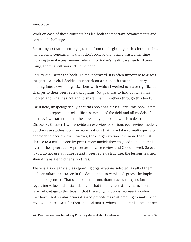### Introduction

Work on each of these concepts has led both to important advancements and continued challenges.

Returning to that unsettling question from the beginning of this introduction, my personal conclusion is that I don't believe that I have wasted my time working to make peer review relevant for today's healthcare needs. If anything, there is still work left to be done.

So why did I write the book? To move forward, it is often important to assess the past. As such, I decided to embark on a six-month research journey, conducting interviews at organizations with which I worked to make significant changes to their peer review programs. My goal was to find out what has worked and what has not and to share this with others through this book.

I will note, unapologetically, that this book has biases. First, this book is not intended to represent a scientific assessment of the field and all models of peer review—rather, it uses the case study approach, which is described in Chapter 4. Chapter 1 will provide an overview of various peer review models, but the case studies focus on organizations that have taken a multi-specialty approach to peer review. However, these organizations did more than just change to a multi-specialty peer review model; they engaged in a total makeover of their peer review processes for case review and OPPE as well. So even if you do not use a multi-specialty peer review structure, the lessons learned should translate to other structures.

There is also clearly a bias regarding organizations selected, as all of them had consultant assistance in the design and, to varying degrees, the implementation process. That said, once the consultant leaves, the questions regarding value and sustainability of that initial effort still remain. There is an advantage to this bias in that these organizations represent a cohort that have used similar principles and procedures in attempting to make peer review more relevant for their medical staffs, which should make them easier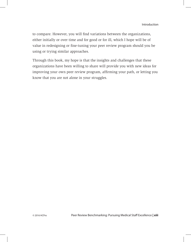to compare. However, you will find variations between the organizations, either initially or over time and for good or for ill, which I hope will be of value in redesigning or fine-tuning your peer review program should you be using or trying similar approaches.

Through this book, my hope is that the insights and challenges that these organizations have been willing to share will provide you with new ideas for improving your own peer review program, affirming your path, or letting you know that you are not alone in your struggles.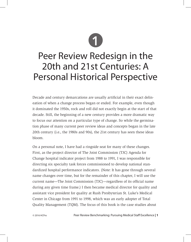

# Peer Review Redesign in the 20th and 21st Centuries: A Personal Historical Perspective

Decade and century demarcations are usually artificial in their exact delineation of when a change process began or ended. For example, even though it dominated the 1950s, rock and roll did not exactly begin at the start of that decade. Still, the beginning of a new century provides a more dramatic way to focus our attention on a particular type of change. So while the germination phase of many current peer review ideas and concepts began in the late 20th century (i.e., the 1980s and 90s), the 21st century has seen these ideas bloom.

On a personal note, I have had a ringside seat for many of these changes. First, as the project director of The Joint Commission (TJC) Agenda for Change hospital indicator project from 1988 to 1991, I was responsible for directing six specialty task forces commissioned to develop national standardized hospital performance indicators. (Note: It has gone through several name changes over time, but for the remainder of this chapter, I will use the current name—The Joint Commission (TJC)—regardless of its official name during any given time frame.) I then became medical director for quality and assistant vice president for quality at Rush Presbyterian St. Luke's Medical Center in Chicago from 1991 to 1998, which was an early adopter of Total Quality Management (TQM). The focus of this book is the case studies about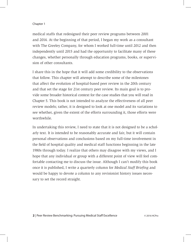medical staffs that redesigned their peer review programs between 2001 and 2014. At the beginning of that period, I began my work as a consultant with The Greeley Company, for whom I worked full-time until 2012 and then independently until 2015 and had the opportunity to facilitate many of these changes, whether personally through education programs, books, or supervision of other consultants.

I share this in the hope that it will add some credibility to the observations that follow. This chapter will attempt to describe some of the milestones that affect the evolution of hospital-based peer review in the 20th century and that set the stage for 21st century peer review. Its main goal is to provide some broader historical context for the case studies that you will read in Chapter 5. This book is not intended to analyze the effectiveness of all peer review models; rather, it is designed to look at one model and its variations to see whether, given the extent of the efforts surrounding it, those efforts were worthwhile.

In undertaking this review, I need to state that it is not designed to be a scholarly text. It is intended to be reasonably accurate and fair, but it will contain personal observations and conclusions based on my full-time involvement in the field of hospital quality and medical staff functions beginning in the late 1980s through today. I realize that others may disagree with my views, and I hope that any individual or group with a different point of view will feel comfortable contacting me to discuss the issue. Although I can't modify this book once it is published, I write a quarterly column for *Medical Staff Briefing* and would be happy to devote a column to any revisionist history issues necessary to set the record straight.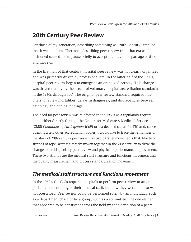# **20th Century Peer Review**

For those of my generation, describing something as "20th Century" implied that it was modern. Therefore, describing peer review from that era as old fashioned caused me to pause briefly to accept the inevitable passage of time and move on.

In the first half of that century, hospital peer review was not clearly organized and was primarily driven by professionalism. In the latter half of the 1900s, hospital peer review began to emerge as an organized activity. This change was driven mainly by the ascent of voluntary hospital accreditation standards in the 1950s through TJC. The original peer review standard required hospitals to review mortalities, delays in diagnoses, and discrepancies between pathology and clinical findings.

The need for peer review was reinforced in the 1960s as a regulatory requirement, either directly through the Centers for Medicare & Medicaid Services (CMS) *Conditions of Participation* (*CoP*) or via deemed status for TJC and, subsequently, a few other accreditation bodies. I would like to trace the remainder of the story of 20th century peer review as two parallel movements that, like two strands of rope, were ultimately woven together in the 21st century to drive the change to multi-specialty peer review and physician performance improvement. These two strands are the medical staff structure and functions movement and the quality measurement and process standardization movement.

# *The medical staff structure and functions movement*

In the 1960s, the *CoP*s required hospitals to perform peer review to accomplish the credentialing of their medical staff, but how they were to do so was not prescribed. Peer review could be performed solely by an individual, such as a department chair, or by a group, such as a committee. The one element that appeared to be consistent across the field was the definition of a peer: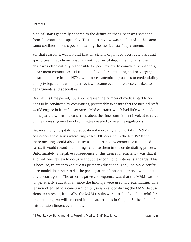Medical staffs generally adhered to the definition that a peer was someone from the exact same specialty. Thus, peer review was conducted in the sacrosanct confines of one's peers, meaning the medical staff departments.

For that reason, it was natural that physicians organized peer review around specialties. In academic hospitals with powerful department chairs, the chair was often entirely responsible for peer review. In community hospitals, department committees did it. As the field of credentialing and privileging began to mature in the 1970s, with more systemic approaches to credentialing and privilege delineation, peer review became even more closely linked to departments and specialties.

During this time period, TJC also increased the number of medical staff functions to be conducted by committees, presumably to ensure that the medical staff would engage in its self-governance. Medical staffs, which had little work to do in the past, now became concerned about the time commitment involved to serve on the increasing number of committees needed to meet the regulations.

Because many hospitals had educational morbidity and mortality (M&M) conferences to discuss interesting cases, TJC decided in the late 1970s that these meetings could also qualify as the peer review committee if the medical staff would record the findings and use them in the credentialing process. Unfortunately, a negative consequence of this desire for efficiency was that it allowed peer review to occur without clear conflict of interest standards. This is because, in order to achieve its primary educational goal, the M&M conference model does not restrict the participation of those under review and actually encourages it. The other negative consequence was that the M&M was no longer strictly educational, since the findings were used in credentialing. This tension often led to a constraint on physician candor during the M&M discussions. As a result, ironically, the M&M results were less likely to be useful for credentialing. As will be noted in the case studies in Chapter 5, the effect of this decision lingers even today.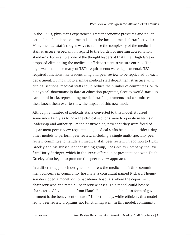In the 1990s, physicians experienced greater economic pressures and no longer had an abundance of time to lend to the hospital medical staff activities. Many medical staffs sought ways to reduce the complexity of the medical staff structure, especially in regard to the burden of meeting accreditation standards. For example, one of the thought leaders at that time, Hugh Greeley, proposed eliminating the medical staff department structure entirely. The logic was that since many of TJC's requirements were departmental, TJC required functions like credentialing and peer review to be replicated by each department. By moving to a single medical staff department structure with clinical sections, medical staffs could reduce the number of committees. With his typical showmanship flare at education programs, Greeley would stack up cardboard bricks representing medical staff departments and committees and then knock them over to show the impact of this new model.

Although a number of medicals staffs converted to this model, it raised some uncertainty as to how the clinical sections were to operate in terms of leadership and authority. On the positive side, now that they were freed of department peer review requirements, medical staffs began to consider using other models to perform peer review, including a single multi-specialty peer review committee to handle all medical staff peer review. In addition to Hugh Greeley and his subsequent consulting group, The Greeley Company, the law firm Horty-Springer, which in the 1990s offered joint presentations with Hugh Greeley, also began to promote this peer review approach.

In a different approach designed to address the medical staff time commitment concerns in community hospitals, a consultant named Richard Thompson developed a model for non-academic hospitals where the department chair reviewed and rated all peer review cases. This model could best be characterized by the quote from Plato's Republic that "the best form of government is the benevolent dictator." Unfortunately, while efficient, this model led to peer review programs not functioning well. In this model, community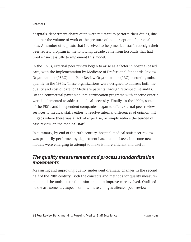hospitals' department chairs often were reluctant to perform their duties, due to either the volume of work or the pressure of the perception of personal bias. A number of requests that I received to help medical staffs redesign their peer review program in the following decade came from hospitals that had tried unsuccessfully to implement this model.

In the 1970s, external peer review began to arise as a factor in hospital-based care, with the implementation by Medicare of Professional Standards Review Organizations (PSRO) and Peer Review Organizations (PRO) occurring subsequently in the 1980s. These organizations were designed to address both the quality and cost of care for Medicare patients through retrospective audits. On the commercial payer side, pre-certification programs with specific criteria were implemented to address medical necessity. Finally, in the 1990s, some of the PROs and independent companies began to offer external peer review services to medical staffs either to resolve internal differences of opinion, fill in gaps where there was a lack of expertise, or simply reduce the burden of case review on the medical staff.

In summary, by end of the 20th century, hospital medical staff peer review was primarily performed by department-based committees, but some new models were emerging to attempt to make it more efficient and useful.

# *The quality measurement and process standardization movements*

Measuring and improving quality underwent dramatic changes in the second half of the 20th century. Both the concepts and methods for quality measurement and the tools to use that information to improve care evolved. Outlined below are some key aspects of how these changes affected peer review.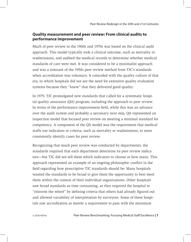# **Quality measurement and peer review: From clinical audits to performance improvement**

Much of peer review in the 1960s and 1970s was based on the clinical audit approach. This model typically took a clinical outcome, such as mortality or readmissions, and audited the medical records to determine whether medical standards of care were met. It was considered to be a minimalist approach and was a remnant of the 1950s peer review method from TJC's standards when accreditation was voluntary. It coincided with the quality culture of that era, in which hospitals did not see the need for extensive quality evaluation systems because they "knew" that they delivered good quality.

In 1979, TJC promulgated new standards that called for a systematic hospital quality assurance (QA) program, including the approach to peer review. In terms of the performance improvement field, while this was an advance over the audit system and probably a necessary next step, QA represented an inspection model that focused peer review on meeting a minimal standard for competency. A component of the QA model was the requirement that medical staffs use indicators or criteria, such as mortality or readmissions, to more consistently identify cases for peer review.

Recognizing that much peer review was conducted by departments, the standards required that each department determine its peer review indicators—but TJC did not tell them which indicators to choose or how many. This approach represented an example of an ongoing philosophic conflict in the field regarding how prescriptive TJC standards should be: Many hospitals wanted the standards to be broad to give them the opportunity to best meet them within the context of their individual organizations. Other hospitals saw broad standards as time consuming, as they required the hospital to "reinvent the wheel" by defining criteria that others had already figured out and allowed variability of interpretation by surveyors. Some of these hospitals saw accreditation as merely a requirement to pass with the minimum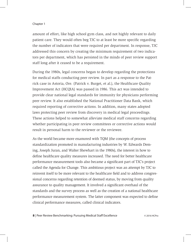amount of effort, like high school gym class, and not highly relevant to daily patient care. They would often beg TJC to at least be more specific regarding the number of indicators that were required per department. In response, TJC addressed this concern by creating the minimum requirement of two indicators per department, which has persisted in the minds of peer review support staff long after it ceased to be a requirement.

During the 1980s, legal concerns began to develop regarding the protections for medical staffs conducting peer review. In part as a response to the Patrick case in Astoria, Ore. (Patrick v. Burget, et al.), the Healthcare Quality Improvement Act (HCQIA) was passed in 1986. This act was intended to provide clear national legal standards for immunity for physicians performing peer review. It also established the National Practitioner Data Bank, which required reporting of corrective actions. In addition, many states adopted laws protecting peer review from discovery in medical legal proceedings. These actions helped to somewhat alleviate medical staff concerns regarding whether participating in peer review committees or corrective actions would result in personal harm to the reviewer or the reviewee.

As the world became more enamored with TQM (the concepts of process standardization promoted in manufacturing industries by W. Edwards Deming, Joseph Juran, and Walter Shewhart in the 1980s), the interest in how to define healthcare quality measures increased. The need for better healthcare performance measurement tools also became a significant part of TJC's project called the Agenda for Change. This ambitious project was an attempt by TJC to reinvent itself to be more relevant to the healthcare field and to address congressional concerns regarding retention of deemed status, by moving from quality assurance to quality management. It involved a significant overhaul of the standards and the survey process as well as the creation of a national healthcare performance measurement system. The latter component was expected to define clinical performance measures, called clinical indicators.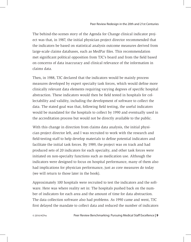The behind-the-scenes story of the Agenda for Change clinical indicator project was that, in 1987, the initial physician project director recommended that the indicators be based on statistical analysis outcome measures derived from large-scale claims databases, such as MedPar files. This recommendation met significant political opposition from TJC's board and from the field based on concerns of data inaccuracy and clinical relevance of the information in claims data.

Then, in 1988, TJC declared that the indicators would be mainly process measures developed by expert specialty task forces, which would define more clinically relevant data elements requiring varying degrees of specific hospital abstraction. These indicators would then be field tested in hospitals for collectability and validity, including the development of software to collect the data. The stated goal was that, following field testing, the useful indicators would be mandated for the hospitals to collect by 1990 and eventually used in the accreditation process but would not be directly available to the public.

With this change in direction from claims data analysis, the initial physician project director left, and I was recruited to work with the research and field-testing staff to help develop materials to define potential indicators and facilitate the initial task forces. By 1989, the project was on track and had produced sets of 20 indicators for each specialty, and other task forces were initiated on non-specialty functions such as medication use. Although the indicators were designed to focus on hospital performance, many of them also had implications for physician performance, just as core measures do today (we will return to those later in the book).

Approximately 100 hospitals were recruited to test the indicators and the software. Here was where reality set in: The hospitals pushed back on the number of indicators for each area and the amount of time for data abstraction. The data collection software also had problems. As 1990 came and went, TJC first delayed the mandate to collect data and reduced the number of indicators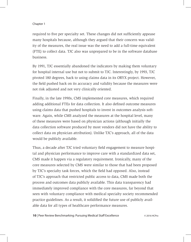required to five per specialty set. These changes did not sufficiently appease many hospitals because, although they argued that their concern was validity of the measures, the real issue was the need to add a full-time equivalent (FTE) to collect data. TJC also was unprepared to be in the software database business.

By 1991, TJC essentially abandoned the indicators by making them voluntary for hospital internal use but not to submit to TJC. Interestingly, by 1993, TJC pivoted 180 degrees, back to using claims data in its ORYX project. However, the field pushed back on its accuracy and validity because the measures were not risk adjusted and not very clinically oriented.

Finally, in the late 1990s, CMS implemented core measures, which required adding additional FTEs for data collection. It also defined outcome measures using claims data that pushed hospitals to invest in outcomes analysis software. Again, while CMS analyzed the measures at the hospital level, many of these measures were based on physician actions (although initially the data collection software produced by most vendors did not have the ability to collect data on physician attribution). Unlike TJC's approach, all of the data would be publicly available.

Thus, a decade after TJC tried voluntary field engagement to measure hospital and physician performance to improve care with a standardized data set, CMS made it happen via a regulatory requirement. Ironically, many of the core measures selected by CMS were similar to those that had been proposed by TJC's specialty task forces, which the field had opposed. Also, instead of TJC's approach that restricted public access to data, CMS made both the process and outcomes data publicly available. This data transparency had immediately improved compliance with the core measures, far beyond that seen with voluntary compliance with medical specialty society recommended practice guidelines. As a result, it solidified the future use of publicly available data for all types of healthcare performance measures.

**10** | Peer Review Benchmarking: Pursuing Medical Staff Excellence © 2016 HCPro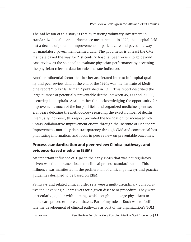The sad lesson of this story is that by resisting voluntary investment in standardized healthcare performance measurement in 1990, the hospital field lost a decade of potential improvements in patient care and paved the way for mandatory government-defined data. The good news is at least the CMS mandate paved the way for 21st century hospital peer review to go beyond case review as the sole tool to evaluate physician performance by accessing the physician relevant data for rule and rate indicators.

Another influential factor that further accelerated interest in hospital quality and peer review data at the end of the 1990s was the Institute of Medicine report "To Err Is Human," published in 1999. This report described the large number of potentially preventable deaths, between 45,000 and 90,000, occurring in hospitals. Again, rather than acknowledging the opportunity for improvement, much of the hospital field and organized medicine spent several years debating the methodology regarding the exact number of deaths. Eventually, however, this report provided the foundation for increased voluntary collaborative improvement efforts through the Institute of Healthcare Improvement, mortality data transparency through CMS and commercial hospital rating information, and focus in peer review on preventable outcomes.

# **Process standardization and peer review: Clinical pathways and evidence-based medicine (EBM)**

An important influence of TQM in the early 1990s that was not regulatory driven was the increased focus on clinical process standardization. This influence was manifested in the proliferation of clinical pathways and practice guidelines designed to be based on EBM.

Pathways and related clinical order sets were a multi-disciplinary collaborative tool involving all caregivers for a given disease or procedure. They were particularly popular with nursing, which sought to engage physicians to make care processes more consistent. Part of my role at Rush was to facilitate the development of clinical pathways as part of the organization's TQM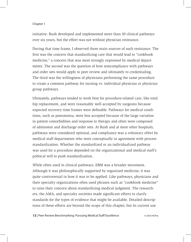initiative. Rush developed and implemented more than 30 clinical pathways over six years, but the effort was not without physician resistance.

During that time frame, I observed three main sources of such resistance. The first was the concern that standardizing care that would lead to "cookbook medicine," a concern that was most strongly expressed by medical departments. The second was the question of how noncompliance with pathways and order sets would apply to peer review and ultimately to credentialing. The third was the willingness of physicians performing the same procedure to create a common pathway for nursing vs. individual physician or physician group pathways.

Ultimately, pathways tended to work best for procedure-related care, like total hip replacement, and were reasonably well accepted by surgeons because expected recovery time frames were definable. Pathways for medical conditions, such as pneumonia, were less accepted because of the large variation in patient comorbidities and response to therapy and often were composed of admission and discharge order sets. At Rush and at most other hospitals, pathways were considered optional, and compliance was a voluntary effort by medical staff departments who were conceptually in agreement with process standardization. Whether the standardized or an individualized pathway was used for a procedure depended on the organizational and medical staff's political will to push standardization.

While often used in clinical pathways, EBM was a broader movement. Although it was philosophically supported by organized medicine, it was quite controversial in how it was to be applied. Like pathways, physicians and their specialty organizations often used phrases such as "cookbook medicine" to raise their concern about standardizing medical judgment. The researchers, the AMA, and specialty societies made significant efforts to clarify standards for the types of evidence that might be available. Detailed descriptions of these efforts are beyond the scope of this chapter, but its current use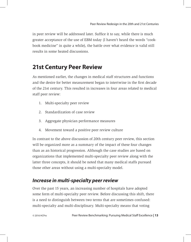in peer review will be addressed later. Suffice it to say, while there is much greater acceptance of the use of EBM today (I haven't heard the words "cookbook medicine" in quite a while), the battle over what evidence is valid still results in some heated discussions.

# **21st Century Peer Review**

As mentioned earlier, the changes in medical staff structures and functions and the desire for better measurement began to intertwine in the first decade of the 21st century. This resulted in increases in four areas related to medical staff peer review:

- 1. Multi-specialty peer review
- 2. Standardization of case review
- 3. Aggregate physician performance measures
- 4. Movement toward a positive peer review culture

In contrast to the above discussion of 20th century peer review, this section will be organized more as a summary of the impact of these four changes than as an historical progression. Although the case studies are based on organizations that implemented multi-specialty peer review along with the latter three concepts, it should be noted that many medical staffs pursued those other areas without using a multi-specialty model.

# *Increase in multi-specialty peer review*

Over the past 15 years, an increasing number of hospitals have adopted some form of multi-specialty peer review. Before discussing this shift, there is a need to distinguish between two terms that are sometimes confused: multi-specialty and multi-disciplinary. Multi-specialty means that voting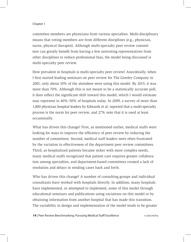committee members are physicians from various specialties. Multi-disciplinary means that voting members are from different disciplines (e.g., physician, nurse, physical therapist). Although multi-specialty peer review committees can greatly benefit from having a few nonvoting representatives from other disciplines to reduce professional bias, the model being discussed is multi-specialty peer review.

How prevalent in hospitals is multi-specialty peer review? Anecdotally, when I first started leading seminars on peer review for The Greeley Company in 2001, only about 10% of the attendees were using this model. By 2015, it was more than 70%. Although this is not meant to be a statistically accurate poll, it does reflect the significant shift toward this model, which I would estimate may represent in 40%–50% of hospitals today. In 2009, a survey of more than 1,800 physician hospital leaders by Edwards et al. reported that a multi-specialty process is the norm for peer review, and 27% note that it is used at least occasionally.

What has driven this change? First, as mentioned earlier, medical staffs were looking for ways to improve the efficiency of peer review by reducing the number of committees. Second, medical staff leaders were often frustrated by the variation in effectiveness of the department peer review committees. Third, as hospitalized patients became sicker with more complex needs, many medical staffs recognized that patient care requires greater collaboration among specialties, and department-based committees created a lack of resolution and delays in sending cases back and forth.

Who has driven this change? A number of consulting groups and individual consultants have worked with hospitals directly. In addition, many hospitals have implemented, or attempted to implement, some of this model through educational seminars and publications using variations on this model or by obtaining information from another hospital that has made this transition. The variability in design and implementation of the model tends to be greater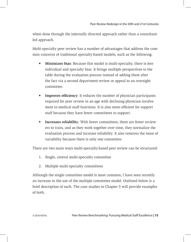when done through the internally directed approach rather than a consultantled approach.

Multi-specialty peer review has a number of advantages that address the common concerns of traditional specialty-based models, such as the following:

- **• Minimizes bias**: Because this model is multi-specialty, there is less individual and specialty bias. It brings multiple perspectives to the table during the evaluation process instead of adding them after the fact via a second department review or appeal to an oversight committee.
- **• Improves efficiency**: It reduces the number of physician participants required for peer review in an age with declining physician involvement in medical staff functions. It is also more efficient for support staff because they have fewer committees to support.
- **• Increases reliability**: With fewer committees, there are fewer reviewers to train, and as they work together over time, they normalize the evaluation process and increase reliability. It also removes the issue of variability because there is only one committee.

There are two main ways multi-specialty-based peer review can be structured:

- 1. Single, central multi-specialty committee
- 2. Multiple multi-specialty committees

Although the single committee model is most common, I have seen recently an increase in the use of the multiple committee model. Outlined below is a brief description of each. The case studies in Chapter 5 will provide examples of both.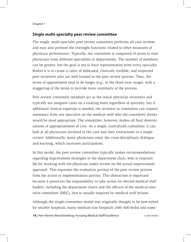# **Single multi-specialty peer review committee**

The single, multi-specialty peer review committee performs all case reviews and may also perform the oversight functions related to other measures of physician performance. Typically, the committee is composed of seven to nine physicians from different specialties or departments. The number of members can be greater, but the goal is not to have representation from every specialty. Rather it is to create a cadre of dedicated, clinically credible, and respected peer reviewers who are well trained in the peer review process. Thus, the terms of appointment tend to be longer (e.g., in the three-year range), with a staggering of the terms to provide more continuity of the process.

Peer review committee members act as the initial physician reviewers and typically are assigned cases on a rotating basis regardless of specialty, but if additional clinical expertise is needed, the reviewer or committee can request assistance from any specialist on the medical staff who the committee thinks would be most appropriate. The committee, however, makes all final determinations of appropriateness of care. As a single, centralized committee, it can look at all physicians involved in the care and their interactions in a single review. Additionally, many physicians enjoy the cross-disciplinary dialogue and learning, which increases participation.

In this model, the peer review committee typically makes recommendations regarding improvement strategies to the department chair, who is responsible for working with the physician under review on the actual improvement approach. This separates the evaluation portion of the peer review process from the action or implementation portion. This distinction is important because it preserves the responsibility to take action for elected medical staff leaders, including the department chairs and the officers of the medical executive committee (MEC), that is usually required by medical staff bylaws.

Although the single-committee model was originally thought to be best-suited for smaller hospitals, many medium-size hospitals (300–400 beds) and some

**16** | Peer Review Benchmarking: Pursuing Medical Staff Excellence © 2016 HCPro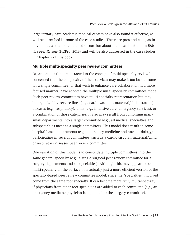large tertiary-care academic medical centers have also found it effective, as will be described in some of the case studies. There are pros and cons, as in any model, and a more detailed discussion about them can be found in *Effective Peer Review* (HCPro, 2013) and will be also addressed in the case studies in Chapter 5 of this book.

# **Multiple multi-specialty peer review committees**

Organizations that are attracted to the concept of multi-specialty review but concerned that the complexity of their services may make it too burdensome for a single committee, or that wish to enhance care collaboration in a more focused manner, have adopted the multiple multi-specialty committees model. Such peer review committees have multi-specialty representation but may be organized by service lines (e.g., cardiovascular, maternal/child, trauma), diseases (e.g., respiratory), units (e.g., intensive care, emergency services), or a combination of those categories. It also may result from combining many small departments into a larger committee (e.g., all medical specialties and subspecialties meet as a single committee). This model does result in some hospital-based departments (e.g., emergency medicine and anesthesiology) participating in several committees, such as a cardiovascular, maternal/child, or respiratory diseases peer review committee.

One variation of this model is to consolidate multiple committees into the same general specialty (e.g., a single surgical peer review committee for all surgery departments and subspecialties). Although this may appear to be multi-specialty on the surface, it is actually just a more efficient version of the specialty-based peer review committee model, since the "specialties" involved come from the same root specialty. It can become more truly multi-specialty if physicians from other root specialties are added to each committee (e.g., an emergency medicine physician is appointed to the surgery committee).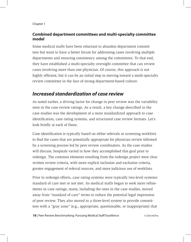# **Combined department committees and multi-specialty committee model**

Some medical staffs have been reluctant to abandon department committees but want to have a better forum for addressing cases involving multiple departments and ensuring consistency among the committees. To that end, they have established a multi-specialty oversight committee that can review cases involving more than one physician. Of course, this approach is not highly efficient, but it can be an initial step in moving toward a multi-specialty review committee in the face of strong department-based culture.

# *Increased standardization of case review*

As noted earlier, a driving factor for change in peer review was the variability seen in the case review ratings. As a result, a key change described in the case studies was the development of a more standardized approach to case identification, case rating systems, and structured case review formats. Let's look briefly at each of these.

Case identification is typically based on either referrals or screening worklists to find the cases that are potentially appropriate for physician review followed by a screening process led by peer review coordinators. As the case studies will discuss, hospitals varied in how they accomplished this goal prior to redesign. The common elements resulting from the redesign project were clear written review criteria, with more explicit inclusion and exclusion criteria, greater engagement of referral sources, and more judicious use of worklists.

Prior to redesign efforts, case rating systems were typically two-level systems: standard of care met or not met. As medical staffs began to seek more refinements in case ratings, many, including the ones in the case studies, moved away from "standard of care" terms to reduce the potential legal impression of peer review. They also moved to a three-level system to provide committees with a "gray zone" (e.g., appropriate, questionable, or inappropriate) that

**18** | Peer Review Benchmarking: Pursuing Medical Staff Excellence © 2016 HCPro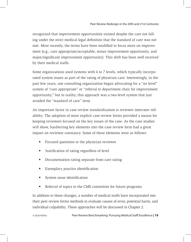recognized that improvement opportunities existed despite the care not falling under the strict medical legal definition that the standard of care was not met. More recently, the terms have been modified to focus more on improvement (e.g., care appropriate/acceptable, minor improvement opportunity, and major/significant improvement opportunity). This shift has been well received by their medical staffs.

Some organizations used systems with 4 to 7 levels, which typically incorporated system issues as part of the rating of physician care. Interestingly, in the past few years, one consulting organization began advocating for a "no level" system of "care appropriate" or "referral to department chair for improvement opportunity," but in reality, this approach was a two-level system that just avoided the "standard of care" term.

An important factor in case review standardization is reviewer interrater reliability. The adoption of more explicit case review forms provided a means for keeping reviewers focused on the key issues of the case. As the case studies will show, hardwiring key elements into the case review form had a great impact on reviewer constancy. Some of these elements were as follows:

- Focused questions to the physician reviewer
- Justification of rating regardless of level
- Documentation rating separate from care rating
- Exemplary practice identification
- System issue identification
- Referral of topics to the CME committee for future programs

In addition to these changes, a number of medical staffs have incorporated into their peer review forms methods to evaluate causes of error, potential harm, and individual culpability. These approaches will be discussed in Chapter 2.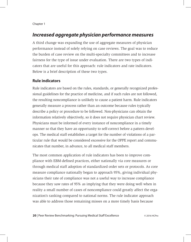# *Increased aggregate physician performance measures*

A third change was expanding the use of aggregate measures of physician performance instead of solely relying on case reviews. The goal was to reduce the burden of case review on the multi-specialty committees and to increase fairness for the type of issue under evaluation. There are two types of indicators that are useful for this approach: rule indicators and rate indicators. Below is a brief description of these two types.

# **Rule indicators**

Rule indicators are based on the rules, standards, or generally recognized professional guidelines for the practice of medicine, and if such rules are not followed, the resulting noncompliance is unlikely to cause a patient harm. Rule indicators generally measure a process rather than an outcome because rules typically describe a policy or procedure to be followed. Non-physicians can obtain the information relatively objectively, so it does not require physician chart review. Physicians must be informed of every instance of noncompliance in a timely manner so that they have an opportunity to self-correct before a pattern develops. The medical staff establishes a target for the number of violations of a particular rule that would be considered excessive for the OPPE report and communicates that number, in advance, to all medical staff members.

The most common application of rule indicators has been to improve compliance with EBM-defined practices, either nationally via core measures or through medical staff adoption of standardized order sets or protocols. As core measure compliance nationally began to approach 95%, giving individual physicians their rate of compliance was not a useful way to increase compliance because they saw rates of 95% as implying that they were doing well when in reality a small number of cases of noncompliance could greatly affect the organization's ranking compared to national norms. The rule indicator approach was able to address those remaining misses on a more timely basis because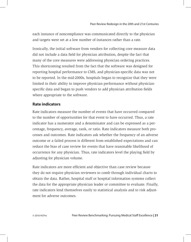each instance of noncompliance was communicated directly to the physician and targets were set at a low number of instances rather than a rate.

Ironically, the initial software from vendors for collecting core measure data did not include a data field for physician attribution, despite the fact that many of the core measures were addressing physician ordering practices. This shortcoming resulted from the fact that the software was designed for reporting hospital performance to CMS, and physician-specific data was not to be reported. In the mid-2000s, hospitals began to recognize that they were limited in their ability to improve physician performance without physicianspecific data and began to push vendors to add physician attribution fields where appropriate to the software.

# **Rate indicators**

Rate indicators measure the number of events that have occurred compared to the number of opportunities for that event to have occurred. Thus, a rate indicator has a numerator and a denominator and can be expressed as a percentage, frequency, average, rank, or ratio. Rate indicators measure both processes and outcomes. Rate indicators ask whether the frequency of an adverse outcome or a failed process is different from established expectations and can reduce the bias of case review for events that have reasonable likelihood of occurrence for any physician. Thus, rate indicators level the playing field by adjusting for physician volume.

Rate indicators are more efficient and objective than case review because they do not require physician reviewers to comb through individual charts to obtain the data. Rather, hospital staff or hospital information systems collect the data for the appropriate physician leader or committee to evaluate. Finally, rate indicators lend themselves easily to statistical analysis and to risk adjustment for adverse outcomes.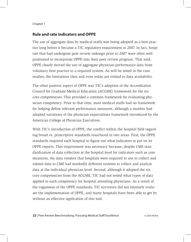# **Rule and rate indicators and OPPE**

The use of aggregate data by medical staffs was being adopted as a best practice long before it became a TJC regulatory requirement in 2007. In fact, hospitals that had undergone peer review redesign prior to 2007 were often well positioned to incorporate OPPE into their peer review program. That said, OPPE clearly moved the use of aggregate physician performance data from voluntary best practice to a required system. As will be noted in the case studies, the limitations then and even today are related to data availability.

The other positive aspect of OPPE was TJC's adoption of the Accreditation Council for Graduate Medical Education (ACGME) framework for the six core competencies. This provided a common framework for evaluating physician competency. Prior to that time, most medical staffs had no framework for helping define relevant performance measures, although a number had adopted variations of the physician expectations framework introduced by the American College of Physician Executives.

With TJC's introduction of OPPE, the conflict within the hospital field regarding broad vs. proscriptive standards resurfaced in two areas. First, the OPPE standards required each hospital to figure out what indicators to put on its OPPE reports. This requirement was necessary because, despite CMS standardization of data collection at the hospital level for indicators such as core measures, the data vendors that hospitals were required to use to collect and submit data to CMS had markedly different systems to collect and analyze data at the individual physician level. Second, although it adopted the six core competencies from the ACGME, TJC had not tested what types of data applied to each competency for hospital attending physicians. As a result of the vagueness of the OPPE standards, TJC surveyors did not intensely evaluate the implementation of OPPE, and many hospitals have been able to get by without an effective application of this tool.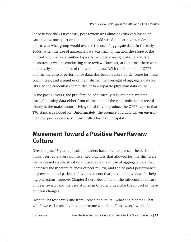Since before the 21st century, peer review was almost exclusively based on case review, one question that had to be addressed in peer review redesign efforts was what group would oversee the use of aggregate data. In the early 2000s, when the use of aggregate data was gaining traction, the scope of the multi-disciplinary committee typically included oversight of rule and rate measures as well as conducting case review. However, at that time, there was a relatively small amount of rule and rate data. With the initiation of OPPE and the increase of performance data, this became more burdensome for these committees, and a number of them shifted the oversight of aggregate data for OPPE to the credentials committee or to a separate physician data council.

In the past 10 years, the proliferation of clinically relevant data systems through mining data either from claims data or the electronic health record clearly is the major factor driving the ability to produce the OPPE reports that TJC standards hoped for. Unfortunately, the promise of a data-driven environment for peer review is still unfulfilled for many hospitals.

# **Movement Toward a Positive Peer Review Culture**

Over the past 15 years, physician leaders have often expressed the desire to make peer review less punitive. Key practices that allowed for this shift were the increased standardization of case review and use of aggregate data that increased the inherent fairness of peer review, and the hospital performance improvement and patient safety movements that provided new ideas for helping physicians improve. Chapter 2 describes in detail the influence of culture on peer review, and the case studies in Chapter 5 describe the impact of these cultural changes.

Despite Shakespeare's line from Romeo and Juliet "What's in a name? That which we call a rose by any other name would smell as sweet," words do

© 2016 HCPro Peer Review Benchmarking: Pursuing Medical Staff Excellence **| 23**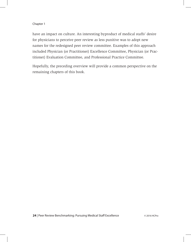have an impact on culture. An interesting byproduct of medical staffs' desire for physicians to perceive peer review as less punitive was to adopt new names for the redesigned peer review committee. Examples of this approach included Physician (or Practitioner) Excellence Committee, Physician (or Practitioner) Evaluation Committee, and Professional Practice Committee.

Hopefully, the preceding overview will provide a common perspective on the remaining chapters of this book.